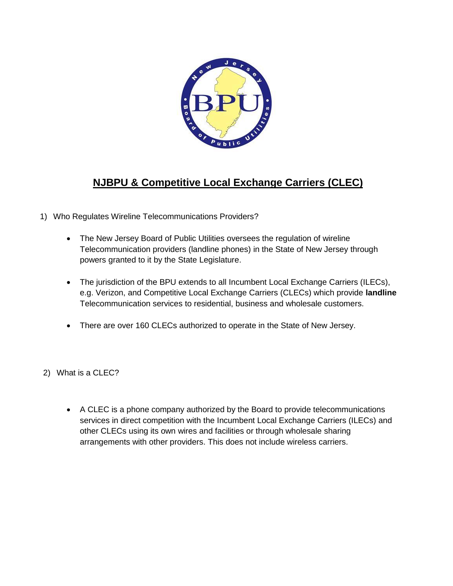

## **NJBPU & Competitive Local Exchange Carriers (CLEC)**

- 1) Who Regulates Wireline Telecommunications Providers?
	- The New Jersey Board of Public Utilities oversees the regulation of wireline Telecommunication providers (landline phones) in the State of New Jersey through powers granted to it by the State Legislature.
	- The jurisdiction of the BPU extends to all Incumbent Local Exchange Carriers (ILECs), e.g. Verizon, and Competitive Local Exchange Carriers (CLECs) which provide **landline**  Telecommunication services to residential, business and wholesale customers.
	- There are over 160 CLECs authorized to operate in the State of New Jersey.
- 2) What is a CLEC?
	- A CLEC is a phone company authorized by the Board to provide telecommunications services in direct competition with the Incumbent Local Exchange Carriers (ILECs) and other CLECs using its own wires and facilities or through wholesale sharing arrangements with other providers. This does not include wireless carriers.